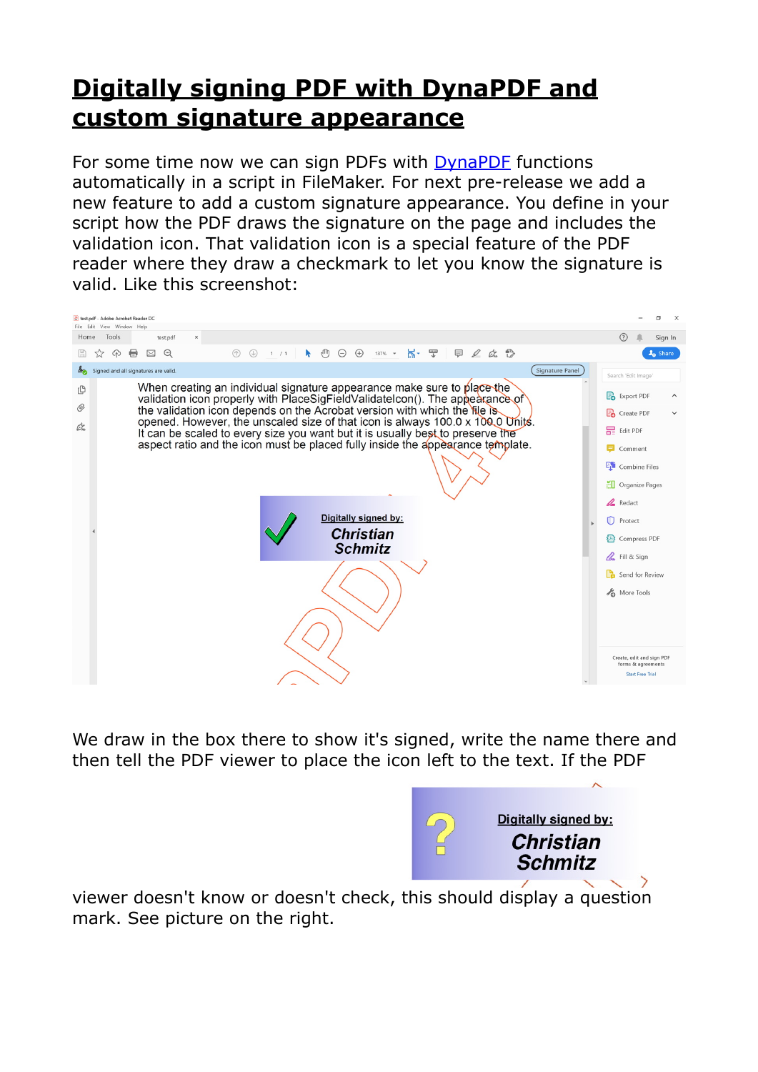## **[Digitally signing PDF with DynaPDF and](https://www.mbs-plugins.com/archive/2020-04-22/Digitally_signing_PDF_with_Dyn/monkeybreadsoftware_blog_filemaker)  [custom signature appearance](https://www.mbs-plugins.com/archive/2020-04-22/Digitally_signing_PDF_with_Dyn/monkeybreadsoftware_blog_filemaker)**

For some time now we can sign PDFs with [DynaPDF](https://www.mbsplugins.eu/component_DynaPDF.shtml) functions automatically in a script in FileMaker. For next pre-release we add a new feature to add a custom signature appearance. You define in your script how the PDF draws the signature on the page and includes the validation icon. That validation icon is a special feature of the PDF reader where they draw a checkmark to let you know the signature is valid. Like this screenshot:

| test.pdf - Adobe Acrobat Reader DC<br>View Window Help<br>File Edit                                                                                                                                                                                                                                                                                                                                                                                                                                                                                                      | đ<br>$\times$                                                                                                                                                                              |
|--------------------------------------------------------------------------------------------------------------------------------------------------------------------------------------------------------------------------------------------------------------------------------------------------------------------------------------------------------------------------------------------------------------------------------------------------------------------------------------------------------------------------------------------------------------------------|--------------------------------------------------------------------------------------------------------------------------------------------------------------------------------------------|
| Tools<br>Home<br>test.pdf<br>×                                                                                                                                                                                                                                                                                                                                                                                                                                                                                                                                           | Sign In                                                                                                                                                                                    |
| H - 문<br>甲。此恐<br>$\mathbb{d}$<br>$\bigoplus$<br>$\bm{\mathord{\text{O}}}$<br>$\Theta$<br>क़<br>₩<br>⊠<br>$\circledR$<br>$\circledcirc$<br>$\ddot{\phantom{1}}$<br>$137\%$ $\star$<br>1 / 1<br>52                                                                                                                                                                                                                                                                                                                                                                         | <b>A</b> <sub>O</sub> Share                                                                                                                                                                |
| $\frac{L}{2}$<br>Signature Panel<br>Signed and all signatures are valid.                                                                                                                                                                                                                                                                                                                                                                                                                                                                                                 | Search 'Edit Image'                                                                                                                                                                        |
| When creating an individual signature appearance make sure to place the<br>௹<br>validation icon properly with PlaceSigFieldValidateIcon(). The appearance of<br>O<br>the validation icon depends on the Acrobat version with which the file is<br>opened. However, the unscaled size of that icon is always 100.0 x 100.0 Units.<br>Ò.<br>It can be scaled to every size you want but it is usually best to preserve the<br>aspect ratio and the icon must be placed fully inside the appearance template.<br>Digitally signed by:<br><b>Christian</b><br><b>Schmitz</b> | Export PDF<br>Create PDF<br>Edit PDF<br>Comment<br><b>Combine Files</b><br>Organize Pages<br>Redact<br>Protect<br>28 Compress PDF<br><b>A</b> Fill & Sign<br>Send for Review<br>More Tools |
|                                                                                                                                                                                                                                                                                                                                                                                                                                                                                                                                                                          |                                                                                                                                                                                            |
|                                                                                                                                                                                                                                                                                                                                                                                                                                                                                                                                                                          | Create, edit and sign PDF<br>forms & agreements<br><b>Start Free Trial</b>                                                                                                                 |

We draw in the box there to show it's signed, write the name there and then tell the PDF viewer to place the icon left to the text. If the PDF



viewer doesn't know or doesn't check, this should display a question mark. See picture on the right.